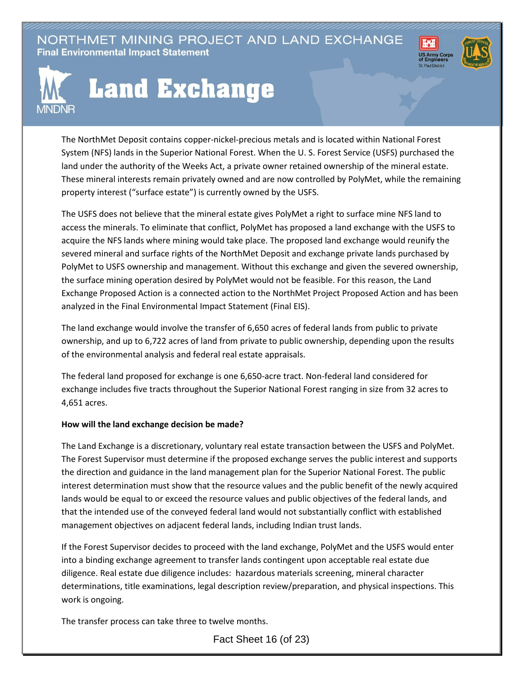NORTHMET MINING PROJECT AND LAND EXCHANGE **Final Environmental Impact Statement** 





## **Land Exchange**

The NorthMet Deposit contains copper-nickel-precious metals and is located within National Forest System (NFS) lands in the Superior National Forest. When the U. S. Forest Service (USFS) purchased the land under the authority of the Weeks Act, a private owner retained ownership of the mineral estate. These mineral interests remain privately owned and are now controlled by PolyMet, while the remaining property interest ("surface estate") is currently owned by the USFS.

The USFS does not believe that the mineral estate gives PolyMet a right to surface mine NFS land to access the minerals. To eliminate that conflict, PolyMet has proposed a land exchange with the USFS to acquire the NFS lands where mining would take place. The proposed land exchange would reunify the severed mineral and surface rights of the NorthMet Deposit and exchange private lands purchased by PolyMet to USFS ownership and management. Without this exchange and given the severed ownership, the surface mining operation desired by PolyMet would not be feasible. For this reason, the Land Exchange Proposed Action is a connected action to the NorthMet Project Proposed Action and has been analyzed in the Final Environmental Impact Statement (Final EIS).

The land exchange would involve the transfer of 6,650 acres of federal lands from public to private ownership, and up to 6,722 acres of land from private to public ownership, depending upon the results of the environmental analysis and federal real estate appraisals.

The federal land proposed for exchange is one 6,650-acre tract. Non-federal land considered for exchange includes five tracts throughout the Superior National Forest ranging in size from 32 acres to 4,651 acres.

## **How will the land exchange decision be made?**

The Land Exchange is a discretionary, voluntary real estate transaction between the USFS and PolyMet. The Forest Supervisor must determine if the proposed exchange serves the public interest and supports the direction and guidance in the land management plan for the Superior National Forest. The public interest determination must show that the resource values and the public benefit of the newly acquired lands would be equal to or exceed the resource values and public objectives of the federal lands, and that the intended use of the conveyed federal land would not substantially conflict with established management objectives on adjacent federal lands, including Indian trust lands.

If the Forest Supervisor decides to proceed with the land exchange, PolyMet and the USFS would enter into a binding exchange agreement to transfer lands contingent upon acceptable real estate due diligence. Real estate due diligence includes: hazardous materials screening, mineral character determinations, title examinations, legal description review/preparation, and physical inspections. This work is ongoing.

The transfer process can take three to twelve months.

Fact Sheet 16 (of 23)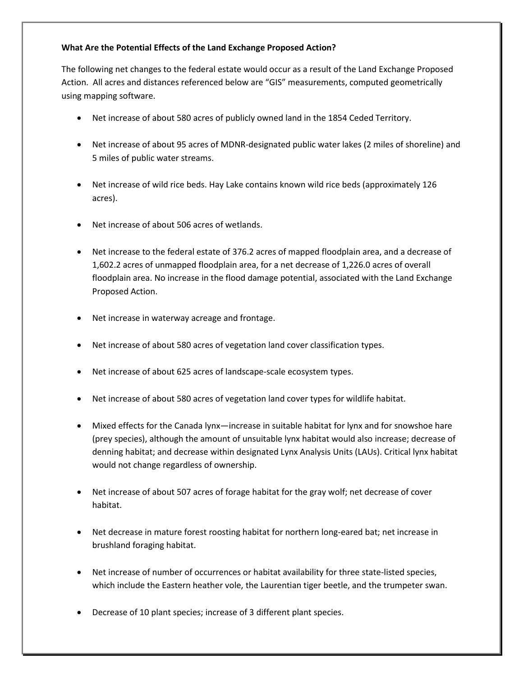## **What Are the Potential Effects of the Land Exchange Proposed Action?**

The following net changes to the federal estate would occur as a result of the Land Exchange Proposed Action. All acres and distances referenced below are "GIS" measurements, computed geometrically using mapping software.

- Net increase of about 580 acres of publicly owned land in the 1854 Ceded Territory.
- Net increase of about 95 acres of MDNR-designated public water lakes (2 miles of shoreline) and 5 miles of public water streams.
- Net increase of wild rice beds. Hay Lake contains known wild rice beds (approximately 126 acres).
- Net increase of about 506 acres of wetlands.
- Net increase to the federal estate of 376.2 acres of mapped floodplain area, and a decrease of 1,602.2 acres of unmapped floodplain area, for a net decrease of 1,226.0 acres of overall floodplain area. No increase in the flood damage potential, associated with the Land Exchange Proposed Action.
- Net increase in waterway acreage and frontage.
- Net increase of about 580 acres of vegetation land cover classification types.
- Net increase of about 625 acres of landscape-scale ecosystem types.
- Net increase of about 580 acres of vegetation land cover types for wildlife habitat.
- Mixed effects for the Canada lynx—increase in suitable habitat for lynx and for snowshoe hare (prey species), although the amount of unsuitable lynx habitat would also increase; decrease of denning habitat; and decrease within designated Lynx Analysis Units (LAUs). Critical lynx habitat would not change regardless of ownership.
- Net increase of about 507 acres of forage habitat for the gray wolf; net decrease of cover habitat.
- Net decrease in mature forest roosting habitat for northern long-eared bat; net increase in brushland foraging habitat.
- Net increase of number of occurrences or habitat availability for three state-listed species, which include the Eastern heather vole, the Laurentian tiger beetle, and the trumpeter swan.
- Decrease of 10 plant species; increase of 3 different plant species.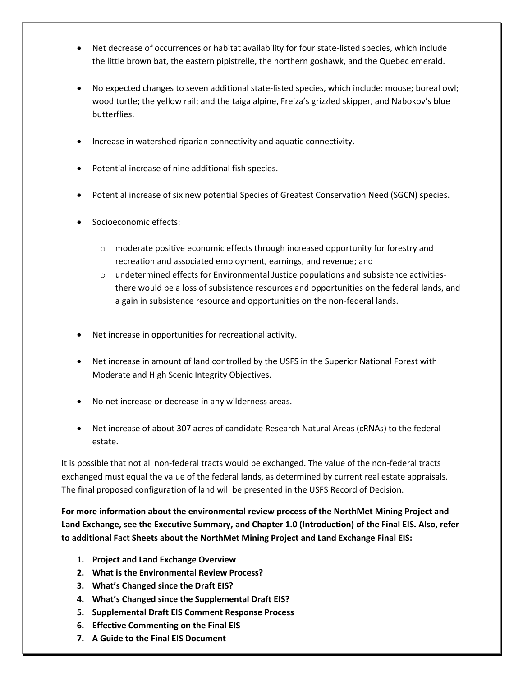- Net decrease of occurrences or habitat availability for four state-listed species, which include the little brown bat, the eastern pipistrelle, the northern goshawk, and the Quebec emerald.
- No expected changes to seven additional state-listed species, which include: moose; boreal owl; wood turtle; the yellow rail; and the taiga alpine, Freiza's grizzled skipper, and Nabokov's blue butterflies.
- Increase in watershed riparian connectivity and aquatic connectivity.
- Potential increase of nine additional fish species.
- Potential increase of six new potential Species of Greatest Conservation Need (SGCN) species.
- Socioeconomic effects:
	- o moderate positive economic effects through increased opportunity for forestry and recreation and associated employment, earnings, and revenue; and
	- $\circ$  undetermined effects for Environmental Justice populations and subsistence activitiesthere would be a loss of subsistence resources and opportunities on the federal lands, and a gain in subsistence resource and opportunities on the non-federal lands.
- Net increase in opportunities for recreational activity.
- Net increase in amount of land controlled by the USFS in the Superior National Forest with Moderate and High Scenic Integrity Objectives.
- No net increase or decrease in any wilderness areas.
- Net increase of about 307 acres of candidate Research Natural Areas (cRNAs) to the federal estate.

It is possible that not all non-federal tracts would be exchanged. The value of the non-federal tracts exchanged must equal the value of the federal lands, as determined by current real estate appraisals. The final proposed configuration of land will be presented in the USFS Record of Decision.

**For more information about the environmental review process of the NorthMet Mining Project and Land Exchange, see the Executive Summary, and Chapter 1.0 (Introduction) of the Final EIS. Also, refer to additional Fact Sheets about the NorthMet Mining Project and Land Exchange Final EIS:**

- **1. Project and Land Exchange Overview**
- **2. What is the Environmental Review Process?**
- **3. What's Changed since the Draft EIS?**
- **4. What's Changed since the Supplemental Draft EIS?**
- **5. Supplemental Draft EIS Comment Response Process**
- **6. Effective Commenting on the Final EIS**
- **7. A Guide to the Final EIS Document**